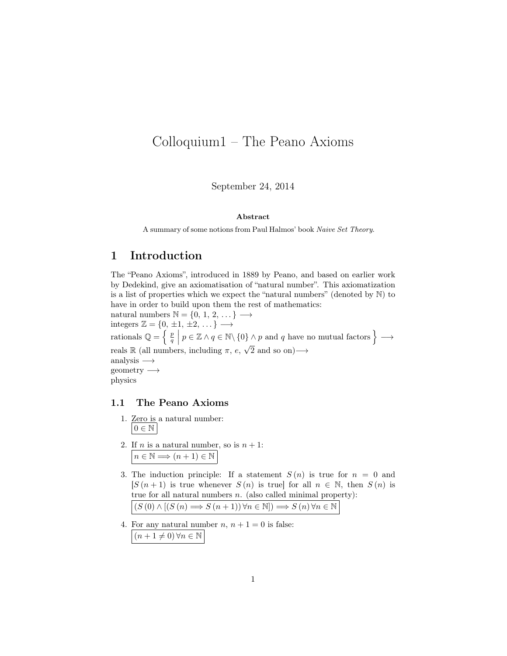# Colloquium1 – The Peano Axioms

September 24, 2014

#### Abstract

A summary of some notions from Paul Halmos' book Naive Set Theory.

## 1 Introduction

The "Peano Axioms", introduced in 1889 by Peano, and based on earlier work by Dedekind, give an axiomatisation of "natural number". This axiomatization is a list of properties which we expect the "natural numbers" (denoted by N) to have in order to build upon them the rest of mathematics:

natural numbers  $\mathbb{N} = \{0, 1, 2, \dots\} \longrightarrow$ integers  $\mathbb{Z} = \{0, \pm 1, \pm 2, \dots\} \longrightarrow$ rationals  $\mathbb{Q} = \left\{ \begin{array}{c} p \\ q \end{array} \middle| p \in \mathbb{Z} \land q \in \mathbb{N} \setminus \{0\} \land p \text{ and } q \text{ have no mutual factors} \right\} \longrightarrow$ reals R (all numbers, including  $\pi$ ,  $e$ ,  $\sqrt{2}$  and so on)  $\longrightarrow$ √ analysis  $\longrightarrow$ geometry −→ physics

#### 1.1 The Peano Axioms

- 1. Zero is a natural number:  $0 \in \mathbb{N}$
- 2. If *n* is a natural number, so is  $n + 1$ :  $n \in \mathbb{N} \Longrightarrow (n+1) \in \mathbb{N}$
- 3. The induction principle: If a statement  $S(n)$  is true for  $n = 0$  and  $[S(n+1)]$  is true whenever  $S(n)$  is true for all  $n \in \mathbb{N}$ , then  $S(n)$  is true for all natural numbers  $n$ . (also called minimal property):  $(S(0) \wedge [(S(n) \Longrightarrow S(n+1)) \forall n \in \mathbb{N}]) \Longrightarrow S(n) \forall n \in \mathbb{N}$
- 4. For any natural number  $n, n + 1 = 0$  is false:  $(n + 1 \neq 0) \forall n \in \mathbb{N}$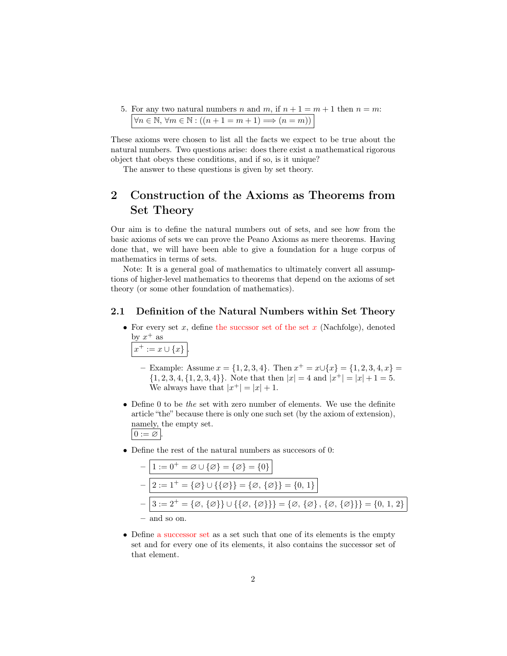5. For any two natural numbers n and m, if  $n + 1 = m + 1$  then  $n = m$ :  $\forall n \in \mathbb{N}, \forall m \in \mathbb{N} : ((n + 1 = m + 1) \Longrightarrow (n = m))$ 

These axioms were chosen to list all the facts we expect to be true about the natural numbers. Two questions arise: does there exist a mathematical rigorous object that obeys these conditions, and if so, is it unique?

The answer to these questions is given by set theory.

# 2 Construction of the Axioms as Theorems from Set Theory

Our aim is to define the natural numbers out of sets, and see how from the basic axioms of sets we can prove the Peano Axioms as mere theorems. Having done that, we will have been able to give a foundation for a huge corpus of mathematics in terms of sets.

Note: It is a general goal of mathematics to ultimately convert all assumptions of higher-level mathematics to theorems that depend on the axioms of set theory (or some other foundation of mathematics).

#### 2.1 Definition of the Natural Numbers within Set Theory

• For every set  $x$ , define the succssor set of the set  $x$  (Nachfolge), denoted by  $x^+$  as

$$
x^+ := x \cup \{x\}.
$$

- Example: Assume  $x = \{1, 2, 3, 4\}$ . Then  $x^+ = x \cup \{x\} = \{1, 2, 3, 4, x\}$  $\{1, 2, 3, 4, \{1, 2, 3, 4\}\}\.$  Note that then  $|x| = 4$  and  $|x^+| = |x| + 1 = 5$ . We always have that  $|x^+| = |x| + 1$ .
- Define 0 to be the set with zero number of elements. We use the definite article "the" because there is only one such set (by the axiom of extension), namely, the empty set.  $0 := \varnothing$ .
- Define the rest of the natural numbers as succesors of 0:

| $-   1 := 0^+ = \varnothing \cup {\varnothing} = {\varnothing} = {0}$                                                                                                           |
|---------------------------------------------------------------------------------------------------------------------------------------------------------------------------------|
| $-2 := 1^+ = {\emptyset} \cup {\{\emptyset\}} = {\emptyset, {\{\emptyset\}} = {0, 1\}}$                                                                                         |
| $-\Big 3:=2^+=\{\varnothing,\,\{\varnothing\}\}\cup\{\{\varnothing,\,\{\varnothing\}\}\}=\{\varnothing,\,\{\varnothing\}\,,\,\{\varnothing,\,\{\varnothing\}\}\}=\{0,\,1,\,2\}$ |
| $-$ and so on.                                                                                                                                                                  |

• Define a successor set as a set such that one of its elements is the empty set and for every one of its elements, it also contains the successor set of that element.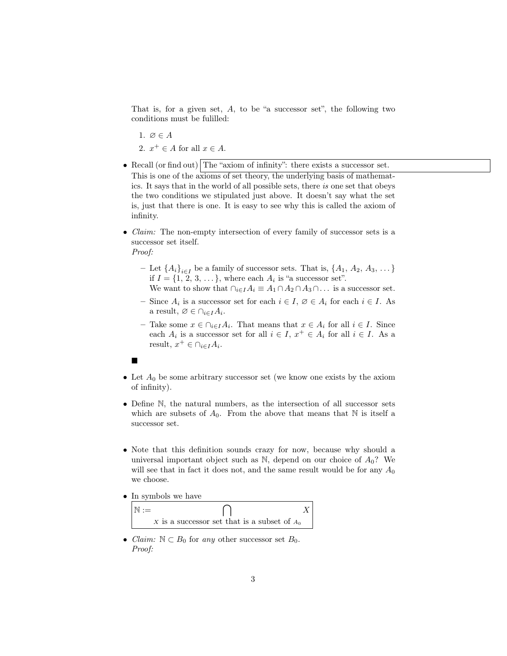That is, for a given set,  $A$ , to be "a successor set", the following two conditions must be fulilled:

1.  $\varnothing \in A$ 2.  $x^+ \in A$  for all  $x \in A$ .

- Recall (or find out) The "axiom of infinity": there exists a successor set. This is one of the axioms of set theory, the underlying basis of mathematics. It says that in the world of all possible sets, there is one set that obeys the two conditions we stipulated just above. It doesn't say what the set is, just that there is one. It is easy to see why this is called the axiom of infinity.
- *Claim:* The non-empty intersection of every family of successor sets is a successor set itself.
	- Proof:
		- Let  ${A_i}_{i\in I}$  be a family of successor sets. That is,  ${A_1, A_2, A_3, \ldots}$ if  $I = \{1, 2, 3, \dots\}$ , where each  $A_i$  is "a successor set".

We want to show that  $\bigcap_{i\in I} A_i \equiv A_1 \cap A_2 \cap A_3 \cap \ldots$  is a successor set.

- $-$  Since  $A_i$  is a successor set for each  $i \in I$ ,  $\emptyset \in A_i$  for each  $i \in I$ . As a result,  $\varnothing \in \cap_{i \in I} A_i$ .
- Take some  $x \in \bigcap_{i \in I} A_i$ . That means that  $x \in A_i$  for all  $i \in I$ . Since each  $A_i$  is a successor set for all  $i \in I$ ,  $x^+ \in A_i$  for all  $i \in I$ . As a result,  $x^+ \in \bigcap_{i \in I} A_i$ .
- $\blacksquare$
- Let  $A_0$  be some arbitrary successor set (we know one exists by the axiom of infinity).
- Define N, the natural numbers, as the intersection of all successor sets which are subsets of  $A_0$ . From the above that means that N is itself a successor set.
- Note that this definition sounds crazy for now, because why should a universal important object such as  $\mathbb{N}$ , depend on our choice of  $A_0$ ? We will see that in fact it does not, and the same result would be for any  $A_0$ we choose.
- In symbols we have

| x is a successor set that is a subset of $A_0$ |  |
|------------------------------------------------|--|

• *Claim:*  $\mathbb{N} \subset B_0$  for any other successor set  $B_0$ . Proof: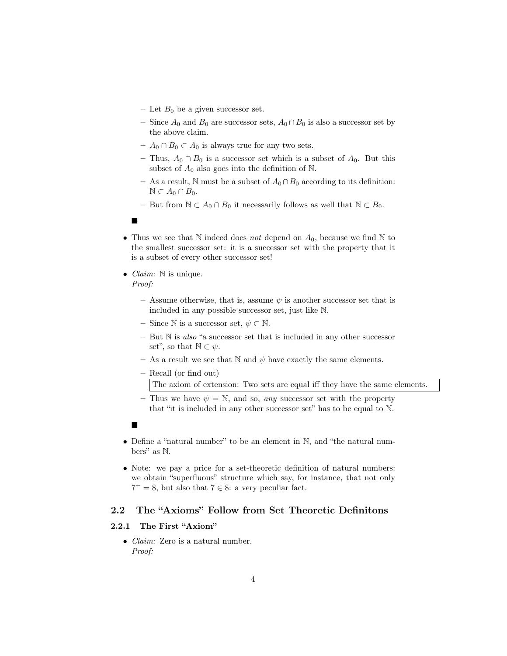- Let  $B_0$  be a given successor set.
- Since  $A_0$  and  $B_0$  are successor sets,  $A_0 \cap B_0$  is also a successor set by the above claim.
- $A_0 ∩ B_0 \subset A_0$  is always true for any two sets.
- Thus,  $A_0 \cap B_0$  is a successor set which is a subset of  $A_0$ . But this subset of  $A_0$  also goes into the definition of N.
- As a result, N must be a subset of  $A_0 \cap B_0$  according to its definition:  $\mathbb{N} \subset A_0 \cap B_0.$
- But from  $\mathbb{N} \subset A_0 \cap B_0$  it necessarily follows as well that  $\mathbb{N} \subset B_0$ .
- $\blacksquare$
- Thus we see that N indeed does *not* depend on  $A_0$ , because we find N to the smallest successor set: it is a successor set with the property that it is a subset of every other successor set!
- *Claim:*  $\mathbb N$  is unique. Proof:
	- Assume otherwise, that is, assume  $\psi$  is another successor set that is included in any possible successor set, just like N.
	- Since N is a successor set,  $\psi \subset \mathbb{N}$ .
	- $-$  But  $\mathbb N$  is also "a successor set that is included in any other successor set", so that  $\mathbb{N} \subset \psi$ .
	- As a result we see that N and  $\psi$  have exactly the same elements.
	- Recall (or find out) The axiom of extension: Two sets are equal iff they have the same elements.
	- Thus we have  $\psi = \mathbb{N}$ , and so, any successor set with the property that "it is included in any other successor set" has to be equal to N.
	- $\blacksquare$
- Define a "natural number" to be an element in N, and "the natural numbers" as N.
- Note: we pay a price for a set-theoretic definition of natural numbers: we obtain "superfluous" structure which say, for instance, that not only  $7^+=8$ , but also that  $7 \in 8$ : a very peculiar fact.

### 2.2 The "Axioms" Follow from Set Theoretic Definitons

#### 2.2.1 The First "Axiom"

• Claim: Zero is a natural number. Proof: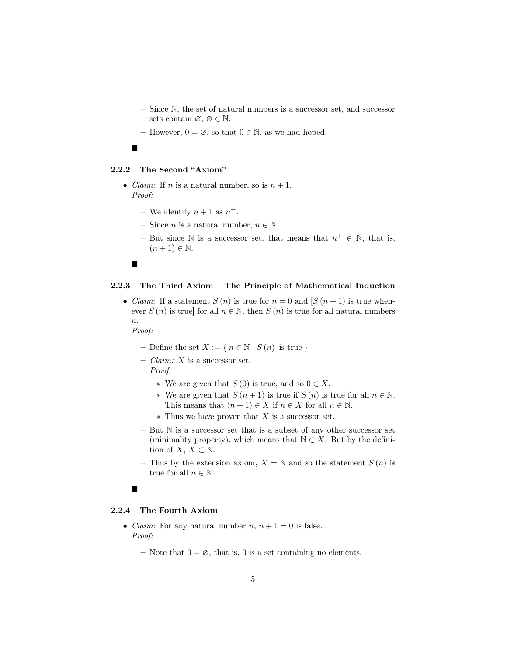- Since N, the set of natural numbers is a successor set, and successor sets contain  $\varnothing, \varnothing \in \mathbb{N}$ .
- However,  $0 = \emptyset$ , so that  $0 \in \mathbb{N}$ , as we had hoped.

#### $\blacksquare$

#### 2.2.2 The Second "Axiom"

- *Claim:* If *n* is a natural number, so is  $n + 1$ . Proof:
	- We identify  $n+1$  as  $n^+$ .
	- Since *n* is a natural number,  $n \in \mathbb{N}$ .
	- But since N is a successor set, that means that  $n^+ \in N$ , that is,  $(n+1) \in \mathbb{N}$ .

■

#### 2.2.3 The Third Axiom – The Principle of Mathematical Induction

• *Claim:* If a statement  $S(n)$  is true for  $n = 0$  and  $[S(n+1)]$  is true whenever  $S(n)$  is true] for all  $n \in \mathbb{N}$ , then  $S(n)$  is true for all natural numbers n.

Proof:

- Define the set  $X := \{ n \in \mathbb{N} \mid S(n) \text{ is true } \}.$
- $Claim: X$  is a successor set. Proof:
	- ∗ We are given that S (0) is true, and so 0 ∈ X.
	- ∗ We are given that  $S(n+1)$  is true if  $S(n)$  is true for all  $n \in \mathbb{N}$ . This means that  $(n + 1) \in X$  if  $n \in X$  for all  $n \in \mathbb{N}$ .
	- ∗ Thus we have proven that X is a successor set.
- But N is a successor set that is a subset of any other successor set (minimality property), which means that  $\mathbb{N} \subset X$ . But by the definition of  $X, X \subset \mathbb{N}$ .
- Thus by the extension axiom,  $X = N$  and so the statement  $S(n)$  is true for all  $n \in \mathbb{N}$ .

#### П

#### 2.2.4 The Fourth Axiom

- *Claim:* For any natural number  $n, n + 1 = 0$  is false. Proof:
	- Note that  $0 = \emptyset$ , that is, 0 is a set containing no elements.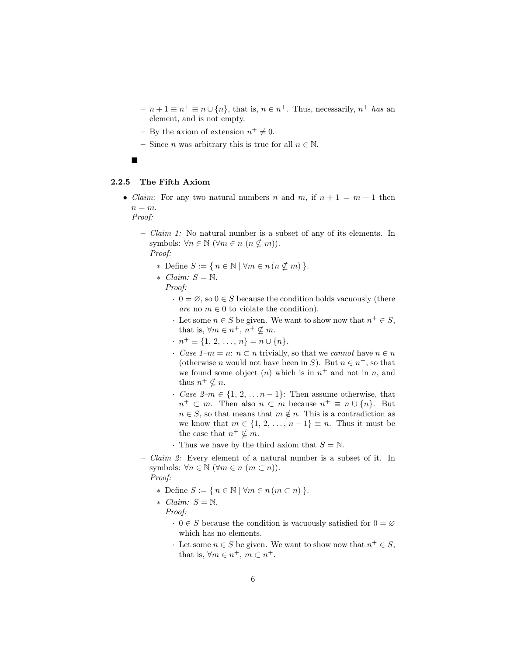- $n + 1 \equiv n^+ \equiv n \cup \{n\}$ , that is,  $n \in n^+$ . Thus, necessarily,  $n^+$  has an element, and is not empty.
- By the axiom of extension  $n^+ \neq 0$ .
- Since *n* was arbitrary this is true for all  $n \in \mathbb{N}$ .
- $\blacksquare$

#### 2.2.5 The Fifth Axiom

• *Claim:* For any two natural numbers n and m, if  $n + 1 = m + 1$  then  $n = m$ .

Proof:

– Claim 1: No natural number is a subset of any of its elements. In symbols:  $\forall n \in \mathbb{N} \ (\forall m \in n \ (n \not\subseteq m)).$ 

Proof:

- \* Define  $S := \{ n \in \mathbb{N} \mid \forall m \in n \ (n \not\subseteq m) \}.$
- ∗ Claim: S = N. Proof:
	- $\cdot$  0 =  $\varnothing$ , so 0  $\in$  S because the condition holds vacuously (there are no  $m \in \{0\}$  to violate the condition).
	- $\cdot$  Let some  $n \in S$  be given. We want to show now that  $n^+ \in S$ , that is,  $\forall m \in n^+, n^+ \nsubseteq m$ .
	- $\cdot$   $n^+ \equiv \{1, 2, \ldots, n\} = n \cup \{n\}.$
	- Case  $1-m = n$ :  $n \subset n$  trivially, so that we cannot have  $n \in n$ (otherwise *n* would not have been in *S*). But  $n \in n^+$ , so that we found some object  $(n)$  which is in  $n^+$  and not in n, and thus  $n^+ \nsubseteq n$ .
	- Case  $2-m \in \{1, 2, \ldots n-1\}$ : Then assume otherwise, that  $n^+ \subset m$ . Then also  $n \subset m$  because  $n^+ \equiv n \cup \{n\}$ . But  $n \in S$ , so that means that  $m \notin n$ . This is a contradiction as we know that  $m \in \{1, 2, ..., n-1\} \equiv n$ . Thus it must be the case that  $n^+ \nsubseteq m$ .
	- · Thus we have by the third axiom that  $S = N$ .
- $-$  Claim 2: Every element of a natural number is a subset of it. In symbols:  $\forall n \in \mathbb{N} \ (\forall m \in n \ (m \subset n)).$ Proof:

- ∗ Define S := { n ∈ N | ∀m ∈ n (m ⊂ n) }.
- ∗ Claim: S = N.
	- Proof:
		- $\cdot$  0  $\in$  S because the condition is vacuously satisfied for  $0 = \emptyset$ which has no elements.
		- $\cdot$  Let some  $n \in S$  be given. We want to show now that  $n^+ \in S$ , that is,  $\forall m \in n^+, m \subset n^+$ .